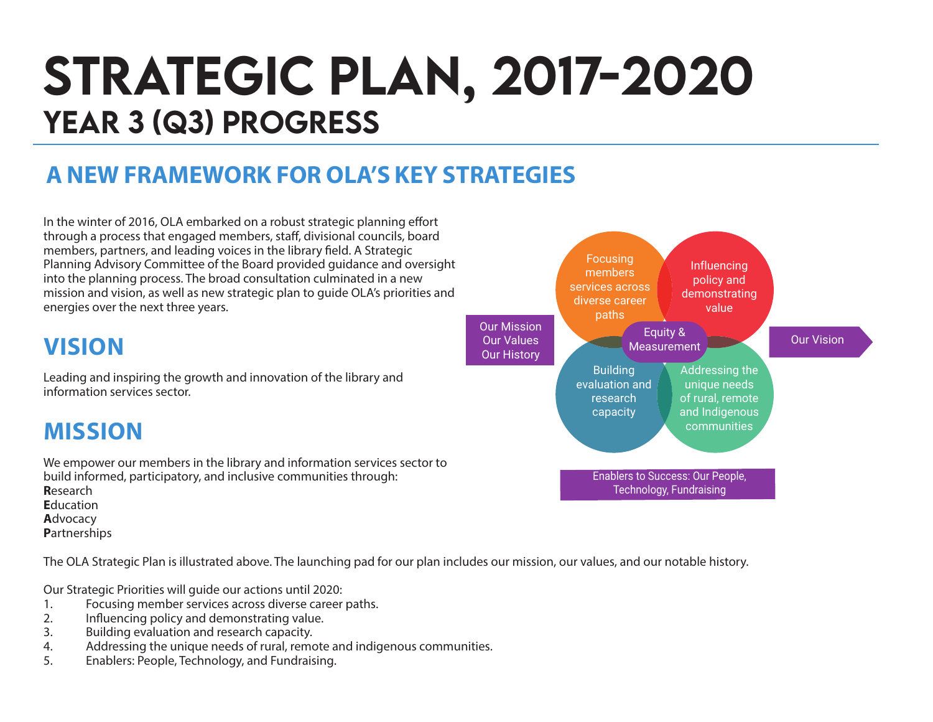# STRATEGIC PLAN, 2017-2020 YEAR 3 (Q3) PROGRESS

### **A NEW FRAMEWORK FOR OLA'S KEY STRATEGIES**

In the winter of 2016, OLA embarked on a robust strategic planning effort through a process that engaged members, staff, divisional councils, board members, partners, and leading voices in the library field. A Strategic Planning Advisory Committee of the Board provided guidance and oversight into the planning process. The broad consultation culminated in a new mission and vision, as well as new strategic plan to guide OLA's priorities and energies over the next three years.

### **VISION**

Leading and inspiring the growth and innovation of the library and information services sector.

### **MISSION**

We empower our members in the library and information services sector to build informed, participatory, and inclusive communities through: **R**esearch **E**ducation **A**dvocacy

**P**artnerships

The OLA Strategic Plan is illustrated above. The launching pad for our plan includes our mission, our values, and our notable history.

Our Strategic Priorities will guide our actions until 2020:

- 1. Focusing member services across diverse career paths.<br>2. Influencing policy and demonstrating value.
- 2. Influencing policy and demonstrating value.
- 3. Building evaluation and research capacity.
- 4. Addressing the unique needs of rural, remote and indigenous communities.
- 5. Enablers: People, Technology, and Fundraising.

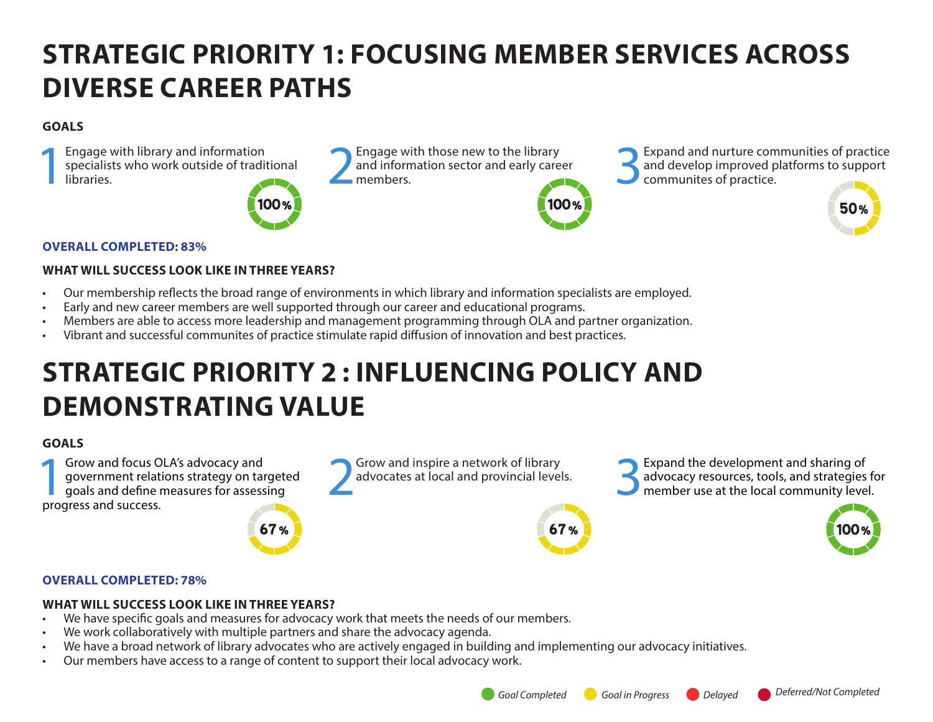# **STRATEGIC PRIORITY 1: FOCUSING MEMBER SERVICES ACROSS DIVERSE CAREER PATHS**

#### **GOALS**

Engage with library and information<br>specialists who work outside of tradit<br>libraries. specialists who work outside of traditional Engage with library and information<br>specialists who work outside of traditional and information sector and early care<br>libraries.



and information sector and early career<br>members

members. 3Expand and nurture communities of practice and develop improved platforms to support communites of practice.



#### **WHAT WILL SUCCESS LOOK LIKE IN THREE YEARS?**

- Our membership reflects the broad range of environments in which library and information specialists are employed.
- Early and new career members are well supported through our career and educational programs.
- Members are able to access more leadership and management programming through OLA and partner organization.
- Vibrant and successful communites of practice stimulate rapid diffusion of innovation and best practices.

# **STRATEGIC PRIORITY 2 : INFLUENCING POLICY AND DEMONSTRATING VALUE**

#### **GOALS**

**1Grow and focus OLA's advocacy and<br>government relations strategy on tail goals and define measures for assess<br>progress and success** government relations strategy on targeted goals and define measures for assessing progress and success.

67%

Grow and inspire a network of library<br>advocates at local and provincial levels.



Grow and inspire a network of library<br>advocates at local and provincial levels.<br>**3Expand the development and sharing of**<br>advocacy resources, tools, and strategies<br>expands to advocacy resources, tools, and strategies advocacy resources, tools, and strategies for member use at the local community level.



50%

#### **OVERALL COMPLETED: 78%**

#### **WHAT WILL SUCCESS LOOK LIKE IN THREE YEARS?**

- We have specific goals and measures for advocacy work that meets the needs of our members.
- We work collaboratively with multiple partners and share the advocacy agenda.
- We have a broad network of library advocates who are actively engaged in building and implementing our advocacy initiatives.
- Our members have access to a range of content to support their local advocacy work.





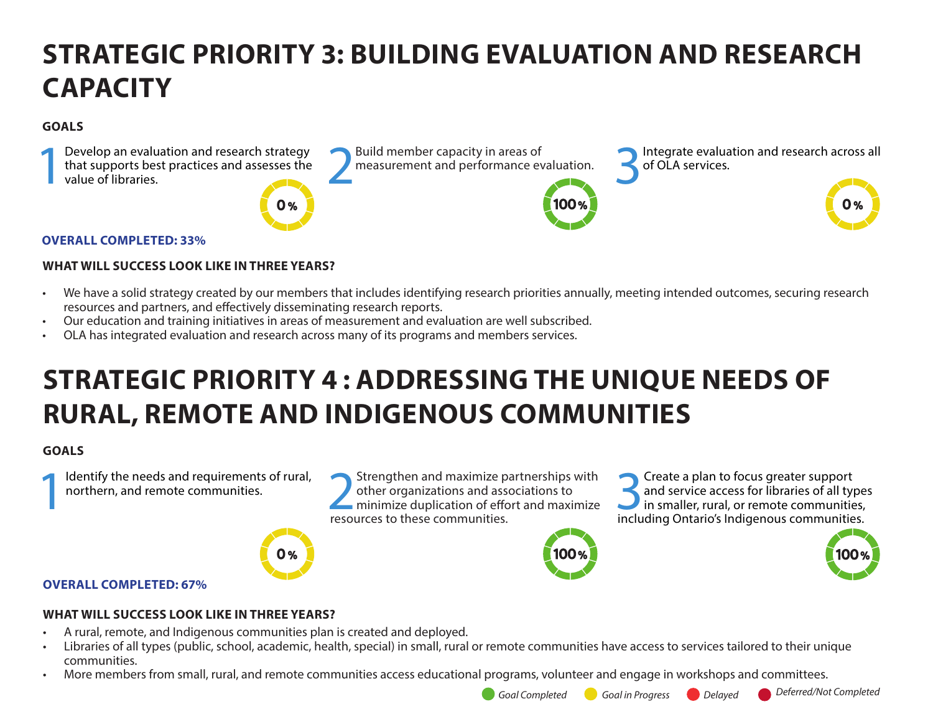# **STRATEGIC PRIORITY 3: BUILDING EVALUATION AND RESEARCH CAPACITY**

#### **GOALS**



#### **OVERALL COMPLETED: 33%**

#### **WHAT WILL SUCCESS LOOK LIKE IN THREE YEARS?**

- We have a solid strategy created by our members that includes identifying research priorities annually, meeting intended outcomes, securing research resources and partners, and effectively disseminating research reports.
- Our education and training initiatives in areas of measurement and evaluation are well subscribed.
- OLA has integrated evaluation and research across many of its programs and members services.

## **STRATEGIC PRIORITY 4 : ADDRESSING THE UNIQUE NEEDS OF RURAL, REMOTE AND INDIGENOUS COMMUNITIES**

#### **GOALS**

Identify the needs and requirements of rural, northern, and remote communities.

Strengthen and maximize partnerships with other organizations and associations to minimize duplication of effort and maximize resources to these communities.







#### **OVERALL COMPLETED: 67%**

#### **WHAT WILL SUCCESS LOOK LIKE IN THREE YEARS?**

- A rural, remote, and Indigenous communities plan is created and deployed.
- Libraries of all types (public, school, academic, health, special) in small, rural or remote communities have access to services tailored to their unique communities.
- More members from small, rural, and remote communities access educational programs, volunteer and engage in workshops and committees.
	-

*Goal Completed Goal in Progress Delayed Deferred/Not Completed*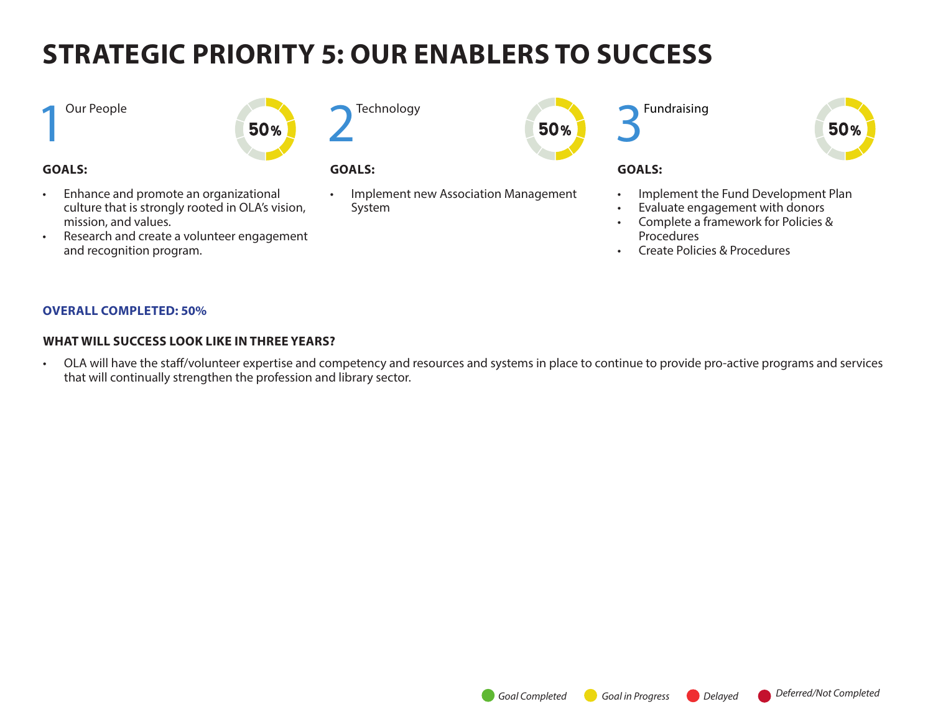# **STRATEGIC PRIORITY 5: OUR ENABLERS TO SUCCESS**

#### **1** Our People



#### **GOALS:**

- Enhance and promote an organizational culture that is strongly rooted in OLA's vision, mission, and values.
- Research and create a volunteer engagement and recognition program.

**Technology** 

### **GOALS:**

• Implement new Association Management System

50%





#### **GOALS:**

- Implement the Fund Development Plan
- Evaluate engagement with donors
- Complete a framework for Policies & Procedures
- Create Policies & Procedures

#### **OVERALL COMPLETED: 50%**

#### **WHAT WILL SUCCESS LOOK LIKE IN THREE YEARS?**

• OLA will have the staff/volunteer expertise and competency and resources and systems in place to continue to provide pro-active programs and services that will continually strengthen the profession and library sector.